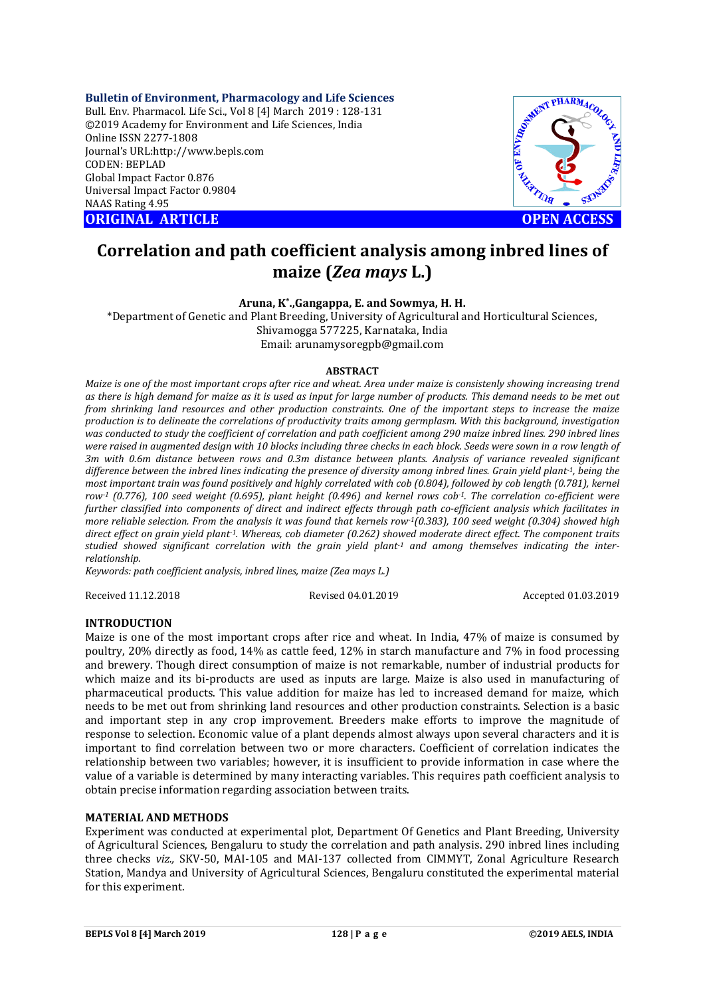**Bulletin of Environment, Pharmacology and Life Sciences** Bull. Env. Pharmacol. Life Sci., Vol 8 [4] March 2019 : 128-131 ©2019 Academy for Environment and Life Sciences, India Online ISSN 2277-1808 Journal's URL:http://www.bepls.com CODEN: BEPLAD Global Impact Factor 0.876 Universal Impact Factor 0.9804 NAAS Rating 4.95

**ORIGINAL ARTICLE OPEN ACCESS** 



# **Correlation and path coefficient analysis among inbred lines of maize (***Zea mays* **L.)**

**Aruna, K\*.,Gangappa, E. and Sowmya, H. H.**

\*Department of Genetic and Plant Breeding, University of Agricultural and Horticultural Sciences, Shivamogga 577225, Karnataka, India Email: arunamysoregpb@gmail.com

#### **ABSTRACT**

*Maize is one of the most important crops after rice and wheat. Area under maize is consistenly showing increasing trend as there is high demand for maize as it is used as input for large number of products. This demand needs to be met out from shrinking land resources and other production constraints. One of the important steps to increase the maize production is to delineate the correlations of productivity traits among germplasm. With this background, investigation was conducted to study the coefficient of correlation and path coefficient among 290 maize inbred lines. 290 inbred lines were raised in augmented design with 10 blocks including three checks in each block. Seeds were sown in a row length of 3m with 0.6m distance between rows and 0.3m distance between plants. Analysis of variance revealed significant difference between the inbred lines indicating the presence of diversity among inbred lines. Grain yield plant-1, being the most important train was found positively and highly correlated with cob (0.804), followed by cob length (0.781), kernel row-1 (0.776), 100 seed weight (0.695), plant height (0.496) and kernel rows cob-1. The correlation co-efficient were further classified into components of direct and indirect effects through path co-efficient analysis which facilitates in more reliable selection. From the analysis it was found that kernels row-1(0.383), 100 seed weight (0.304) showed high direct effect on grain yield plant-1. Whereas, cob diameter (0.262) showed moderate direct effect. The component traits studied showed significant correlation with the grain yield plant-1 and among themselves indicating the interrelationship.*

*Keywords: path coefficient analysis, inbred lines, maize (Zea mays L.)*

Received 11.12.2018 Revised 04.01.2019 Accepted 01.03.2019

### **INTRODUCTION**

Maize is one of the most important crops after rice and wheat. In India, 47% of maize is consumed by poultry, 20% directly as food, 14% as cattle feed, 12% in starch manufacture and 7% in food processing and brewery. Though direct consumption of maize is not remarkable, number of industrial products for which maize and its bi-products are used as inputs are large. Maize is also used in manufacturing of pharmaceutical products. This value addition for maize has led to increased demand for maize, which needs to be met out from shrinking land resources and other production constraints. Selection is a basic and important step in any crop improvement. Breeders make efforts to improve the magnitude of response to selection. Economic value of a plant depends almost always upon several characters and it is important to find correlation between two or more characters. Coefficient of correlation indicates the relationship between two variables; however, it is insufficient to provide information in case where the value of a variable is determined by many interacting variables. This requires path coefficient analysis to obtain precise information regarding association between traits.

## **MATERIAL AND METHODS**

Experiment was conducted at experimental plot, Department Of Genetics and Plant Breeding, University of Agricultural Sciences, Bengaluru to study the correlation and path analysis. 290 inbred lines including three checks *viz.,* SKV-50, MAI-105 and MAI-137 collected from CIMMYT, Zonal Agriculture Research Station, Mandya and University of Agricultural Sciences, Bengaluru constituted the experimental material for this experiment.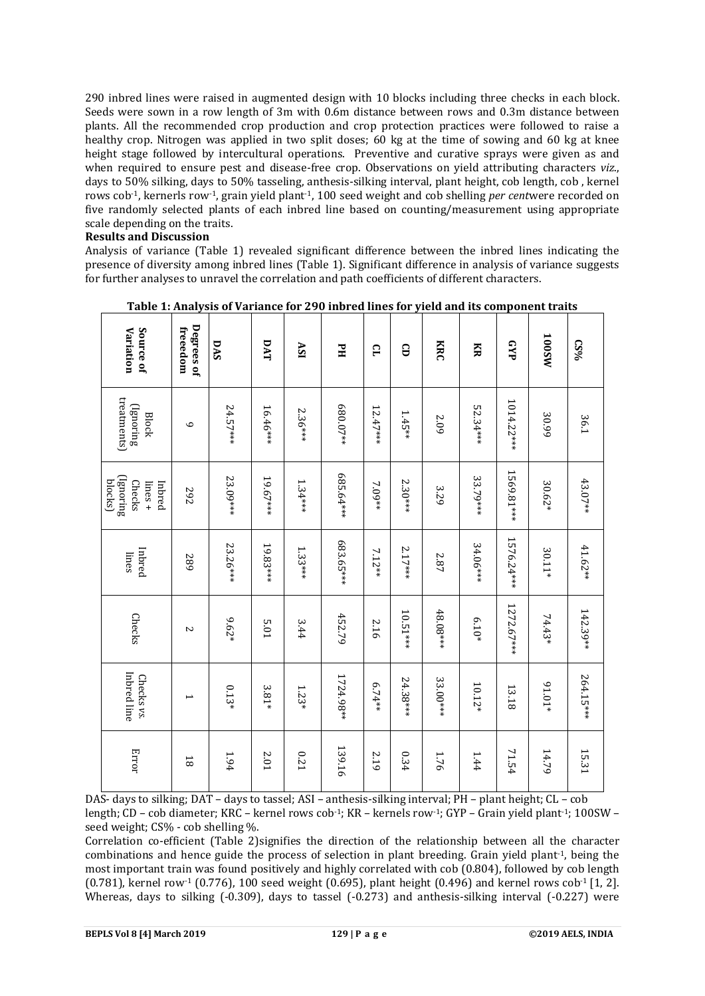290 inbred lines were raised in augmented design with 10 blocks including three checks in each block. Seeds were sown in a row length of 3m with 0.6m distance between rows and 0.3m distance between plants. All the recommended crop production and crop protection practices were followed to raise a healthy crop. Nitrogen was applied in two split doses; 60 kg at the time of sowing and 60 kg at knee height stage followed by intercultural operations. Preventive and curative sprays were given as and when required to ensure pest and disease-free crop. Observations on yield attributing characters *viz*., days to 50% silking, days to 50% tasseling, anthesis-silking interval, plant height, cob length, cob , kernel rows cob-1, kernerls row-1, grain yield plant-1, 100 seed weight and cob shelling *per cent*were recorded on five randomly selected plants of each inbred line based on counting/measurement using appropriate scale depending on the traits.

#### **Results and Discussion**

Analysis of variance (Table 1) revealed significant difference between the inbred lines indicating the presence of diversity among inbred lines (Table 1). Significant difference in analysis of variance suggests for further analyses to unravel the correlation and path coefficients of different characters.

| Variation<br>Source of                                        | Degrees of<br>freeedom   | DAS       | DAT       | ASI        | FH         | ς          | G         | KRC       | Ř         | GYP         | <b>MS001</b> | 0.896      |
|---------------------------------------------------------------|--------------------------|-----------|-----------|------------|------------|------------|-----------|-----------|-----------|-------------|--------------|------------|
| treatments)<br>(Ignoring<br><b>Block</b>                      | $\mathbf 0$              | 24.57***  | 16.46 *** | $2.36***$  | 680.07**   | $12.47***$ | $1.45**$  | 2.09      | 52.34***  | 1014.22***  | 30.99        | 36.1       |
| (Ignoring<br>blocks)<br><b>Checks</b><br>$linees +$<br>Inbred | 267                      | 23.09 *** | 19.67***  | $1.34***$  | 685.64 *** | $7.09**$   | $2.30***$ | 3.29      | 33.79***  | 1569.81 *** | 30.62*       | 43.07**    |
| Inbred<br>lines                                               | 687                      | 23.26 *** | 19.83***  | $1.33***$  | 683.65 *** | $7.12**$   | $2.17***$ | 2.87      | 34.06 *** | 1576.24 *** | $30.11*$     | $41.62**$  |
| Checks                                                        | $\sim$                   | $9.62*$   | 5.01      | 3.44       | 452.79     | 2.16       | 10.51***  | 48.08***  | $6.10*$   | 1272.67***  | 74.43*       | $142.39**$ |
| Inbred line<br>Checks vs.                                     | $\overline{\phantom{0}}$ | $0.13*$   | 3.81*     | $1.23*$    | 1724.98**  | 6.74**     | 24.38***  | 33.00 *** | $10.12*$  | 13.18       | $61.01*$     | 264.15 *** |
| Error                                                         | $\overline{8}$           | $1.94\,$  | $2.01\,$  | <b>171</b> | 139.16     | 2.19       | 0.34      | 1.76      | 1.44      | 71.54       | 14.79        | 15.31      |

Table 1: Analysis of Variance for 290 inbred lines for yield and its component traits

T

 $\overline{\phantom{a}}$ 

DAS- days to silking; DAT – days to tassel; ASI – anthesis-silking interval; PH – plant height; CL – cob length; CD – cob diameter; KRC – kernel rows cob-1; KR – kernels row-1; GYP – Grain yield plant-1; 100SW – seed weight; CS% - cob shelling %.

Correlation co-efficient (Table 2)signifies the direction of the relationship between all the character combinations and hence guide the process of selection in plant breeding. Grain yield plant-1, being the most important train was found positively and highly correlated with cob (0.804), followed by cob length (0.781), kernel row<sup>-1</sup> (0.776), 100 seed weight (0.695), plant height (0.496) and kernel rows cob<sup>-1</sup> [1, 2]. Whereas, days to silking (-0.309), days to tassel (-0.273) and anthesis-silking interval (-0.227) were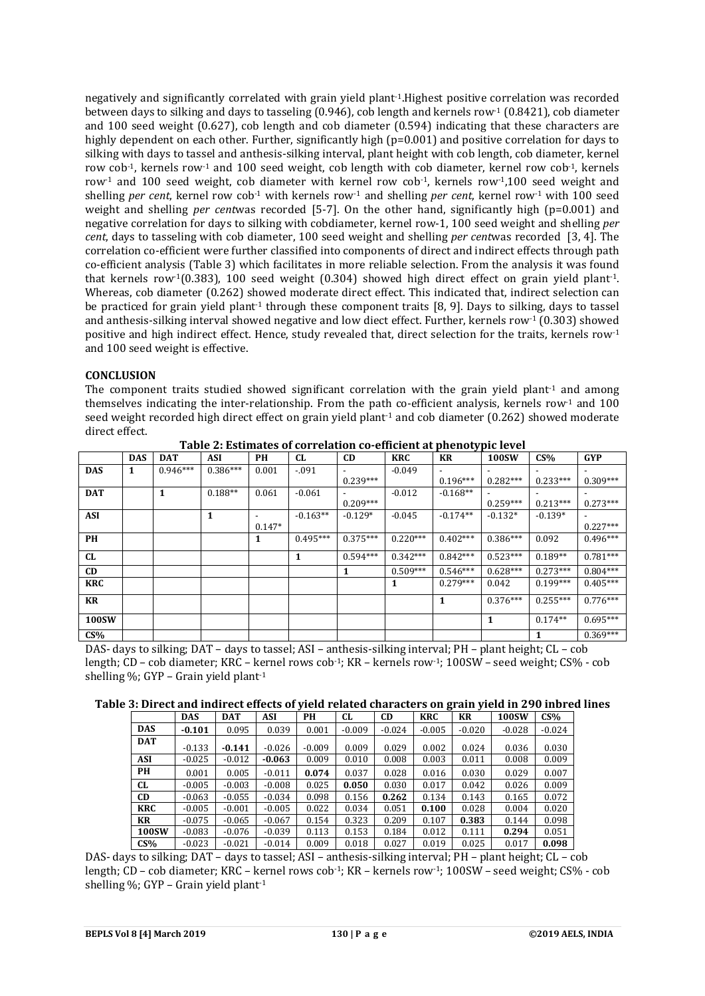negatively and significantly correlated with grain yield plant-1.Highest positive correlation was recorded between days to silking and days to tasseling (0.946), cob length and kernels row-1 (0.8421), cob diameter and 100 seed weight (0.627), cob length and cob diameter (0.594) indicating that these characters are highly dependent on each other. Further, significantly high (p=0.001) and positive correlation for days to silking with days to tassel and anthesis-silking interval, plant height with cob length, cob diameter, kernel row cob-1, kernels row-1 and 100 seed weight, cob length with cob diameter, kernel row cob-1, kernels row-1 and 100 seed weight, cob diameter with kernel row cob-1, kernels row-1,100 seed weight and shelling *per cent*, kernel row cob-1 with kernels row-1 and shelling *per cent*, kernel row-1 with 100 seed weight and shelling *per cent*was recorded [5-7]. On the other hand, significantly high (p=0.001) and negative correlation for days to silking with cobdiameter, kernel row-1, 100 seed weight and shelling *per cent*, days to tasseling with cob diameter, 100 seed weight and shelling *per cent*was recorded [3, 4]. The correlation co-efficient were further classified into components of direct and indirect effects through path co-efficient analysis (Table 3) which facilitates in more reliable selection. From the analysis it was found that kernels row-1(0.383), 100 seed weight (0.304) showed high direct effect on grain yield plant-1. Whereas, cob diameter (0.262) showed moderate direct effect. This indicated that, indirect selection can be practiced for grain yield plant-1 through these component traits [8, 9]. Days to silking, days to tassel and anthesis-silking interval showed negative and low diect effect. Further, kernels row-1 (0.303) showed positive and high indirect effect. Hence, study revealed that, direct selection for the traits, kernels row-1 and 100 seed weight is effective.

# **CONCLUSION**

The component traits studied showed significant correlation with the grain yield plant<sup>1</sup> and among themselves indicating the inter-relationship. From the path co-efficient analysis, kernels row<sup>-1</sup> and 100 seed weight recorded high direct effect on grain yield plant<sup>1</sup> and cob diameter  $(0.262)$  showed moderate direct effect.

|            | <b>DAS</b> | <b>DAT</b> | <b>ASI</b> | PH       | <b>CL</b>  | <b>CD</b>  | <b>KRC</b> | KR         | 100SW      | CS%        | <b>GYP</b> |
|------------|------------|------------|------------|----------|------------|------------|------------|------------|------------|------------|------------|
| <b>DAS</b> | 1          | $0.946***$ | $0.386***$ | 0.001    | $-.091$    |            | $-0.049$   |            |            |            |            |
|            |            |            |            |          |            | $0.239***$ |            | $0.196***$ | $0.282***$ | $0.233***$ | $0.309***$ |
| <b>DAT</b> |            | 1          | $0.188**$  | 0.061    | $-0.061$   |            | $-0.012$   | $-0.168**$ |            |            |            |
|            |            |            |            |          |            | $0.209***$ |            |            | $0.259***$ | $0.213***$ | $0.273***$ |
| <b>ASI</b> |            |            | 1          |          | $-0.163**$ | $-0.129*$  | $-0.045$   | $-0.174**$ | $-0.132*$  | $-0.139*$  |            |
|            |            |            |            | $0.147*$ |            |            |            |            |            |            | $0.227***$ |
| PH         |            |            |            | 1        | $0.495***$ | $0.375***$ | $0.220***$ | $0.402***$ | $0.386***$ | 0.092      | $0.496***$ |
|            |            |            |            |          |            | $0.594***$ | $0.342***$ | $0.842***$ |            |            | $0.781***$ |
| <b>CL</b>  |            |            |            |          | 1          |            |            |            | $0.523***$ | $0.189**$  |            |
| CD         |            |            |            |          |            | 1          | $0.509***$ | $0.546***$ | $0.628***$ | $0.273***$ | $0.804***$ |
| <b>KRC</b> |            |            |            |          |            |            |            | $0.279***$ | 0.042      | $0.199***$ | $0.405***$ |
| KR         |            |            |            |          |            |            |            | 1          | $0.376***$ | $0.255***$ | $0.776***$ |
| 100SW      |            |            |            |          |            |            |            |            | 1          | $0.174**$  | $0.695***$ |
| CS%        |            |            |            |          |            |            |            |            |            |            | $0.369***$ |

**Table 2: Estimates of correlation co-efficient at phenotypic level**

DAS- days to silking; DAT – days to tassel; ASI – anthesis-silking interval; PH – plant height; CL – cob length; CD – cob diameter; KRC – kernel rows cob-1; KR – kernels row-1; 100SW – seed weight; CS% - cob shelling %; GYP – Grain yield plant-1

|  |  | Table 3: Direct and indirect effects of yield related characters on grain yield in 290 inbred lines |  |  |
|--|--|-----------------------------------------------------------------------------------------------------|--|--|

|            | <b>DAS</b> | DAT      | ASI      | PН       | CL       | CD       | <b>KRC</b> | KR       | <b>100SW</b> | CS%      |
|------------|------------|----------|----------|----------|----------|----------|------------|----------|--------------|----------|
| <b>DAS</b> | $-0.101$   | 0.095    | 0.039    | 0.001    | $-0.009$ | $-0.024$ | $-0.005$   | $-0.020$ | $-0.028$     | $-0.024$ |
| <b>DAT</b> | $-0.133$   | $-0.141$ | $-0.026$ | $-0.009$ | 0.009    | 0.029    | 0.002      | 0.024    | 0.036        | 0.030    |
| ASI        | $-0.025$   | $-0.012$ | $-0.063$ | 0.009    | 0.010    | 0.008    | 0.003      | 0.011    | 0.008        | 0.009    |
| PH         | 0.001      | 0.005    | $-0.011$ | 0.074    | 0.037    | 0.028    | 0.016      | 0.030    | 0.029        | 0.007    |
| CL         | $-0.005$   | $-0.003$ | $-0.008$ | 0.025    | 0.050    | 0.030    | 0.017      | 0.042    | 0.026        | 0.009    |
| CD         | $-0.063$   | $-0.055$ | $-0.034$ | 0.098    | 0.156    | 0.262    | 0.134      | 0.143    | 0.165        | 0.072    |
| <b>KRC</b> | $-0.005$   | $-0.001$ | $-0.005$ | 0.022    | 0.034    | 0.051    | 0.100      | 0.028    | 0.004        | 0.020    |
| KR         | $-0.075$   | $-0.065$ | $-0.067$ | 0.154    | 0.323    | 0.209    | 0.107      | 0.383    | 0.144        | 0.098    |
| 100SW      | $-0.083$   | $-0.076$ | $-0.039$ | 0.113    | 0.153    | 0.184    | 0.012      | 0.111    | 0.294        | 0.051    |
| CS%        | $-0.023$   | $-0.021$ | $-0.014$ | 0.009    | 0.018    | 0.027    | 0.019      | 0.025    | 0.017        | 0.098    |

DAS- days to silking; DAT – days to tassel; ASI – anthesis-silking interval; PH – plant height; CL – cob length; CD – cob diameter; KRC – kernel rows cob-1; KR – kernels row-1; 100SW – seed weight; CS% - cob shelling %; GYP - Grain yield plant<sup>-1</sup>